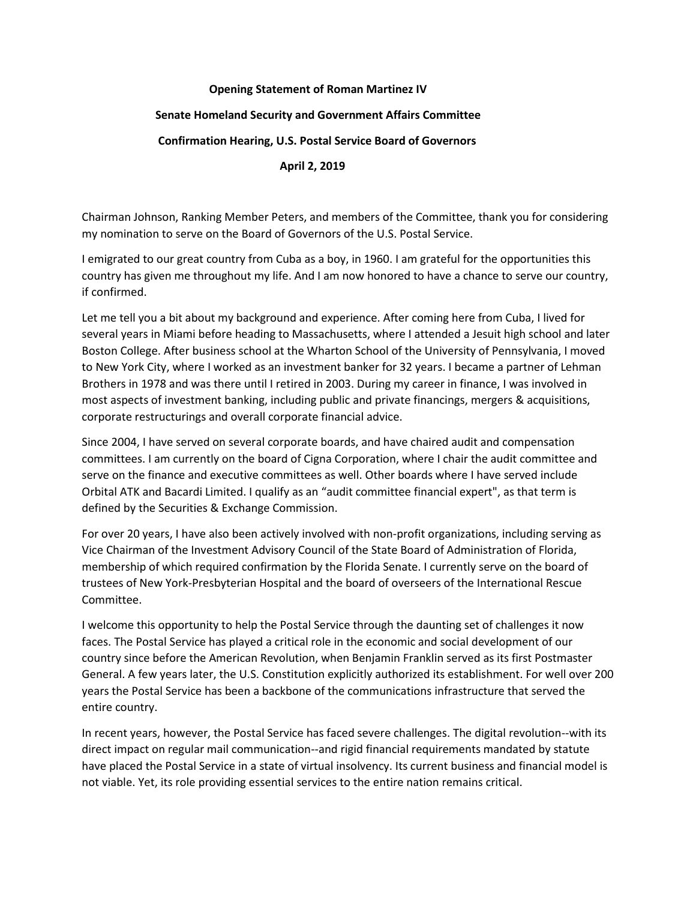## **Opening Statement of Roman Martinez IV**

## **Senate Homeland Security and Government Affairs Committee**

## **Confirmation Hearing, U.S. Postal Service Board of Governors**

## **April 2, 2019**

Chairman Johnson, Ranking Member Peters, and members of the Committee, thank you for considering my nomination to serve on the Board of Governors of the U.S. Postal Service.

I emigrated to our great country from Cuba as a boy, in 1960. I am grateful for the opportunities this country has given me throughout my life. And I am now honored to have a chance to serve our country, if confirmed.

Let me tell you a bit about my background and experience. After coming here from Cuba, I lived for several years in Miami before heading to Massachusetts, where I attended a Jesuit high school and later Boston College. After business school at the Wharton School of the University of Pennsylvania, I moved to New York City, where I worked as an investment banker for 32 years. I became a partner of Lehman Brothers in 1978 and was there until I retired in 2003. During my career in finance, I was involved in most aspects of investment banking, including public and private financings, mergers & acquisitions, corporate restructurings and overall corporate financial advice.

Since 2004, I have served on several corporate boards, and have chaired audit and compensation committees. I am currently on the board of Cigna Corporation, where I chair the audit committee and serve on the finance and executive committees as well. Other boards where I have served include Orbital ATK and Bacardi Limited. I qualify as an "audit committee financial expert", as that term is defined by the Securities & Exchange Commission.

For over 20 years, I have also been actively involved with non-profit organizations, including serving as Vice Chairman of the Investment Advisory Council of the State Board of Administration of Florida, membership of which required confirmation by the Florida Senate. I currently serve on the board of trustees of New York-Presbyterian Hospital and the board of overseers of the International Rescue Committee.

I welcome this opportunity to help the Postal Service through the daunting set of challenges it now faces. The Postal Service has played a critical role in the economic and social development of our country since before the American Revolution, when Benjamin Franklin served as its first Postmaster General. A few years later, the U.S. Constitution explicitly authorized its establishment. For well over 200 years the Postal Service has been a backbone of the communications infrastructure that served the entire country.

In recent years, however, the Postal Service has faced severe challenges. The digital revolution--with its direct impact on regular mail communication--and rigid financial requirements mandated by statute have placed the Postal Service in a state of virtual insolvency. Its current business and financial model is not viable. Yet, its role providing essential services to the entire nation remains critical.